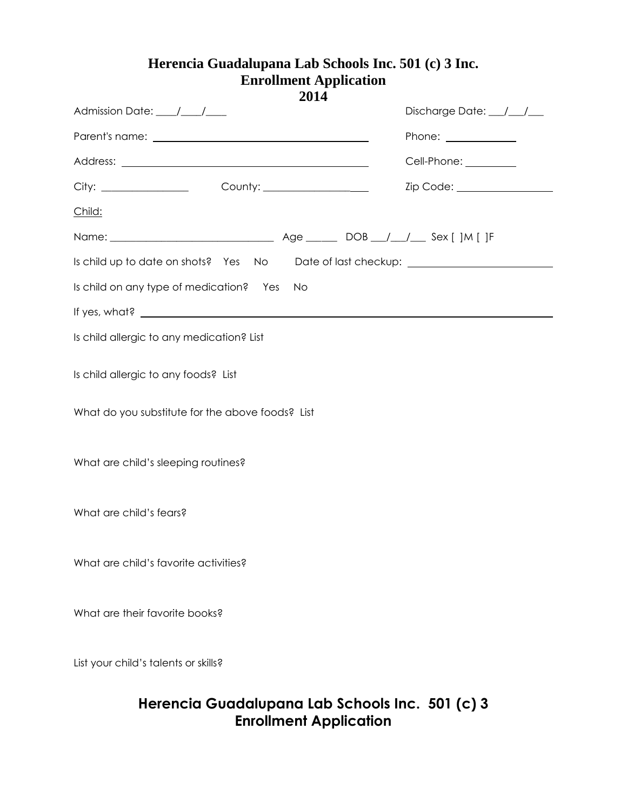## **Herencia Guadalupana Lab Schools Inc. 501 (c) 3 Inc. Enrollment Application**

| 2014                                                                             |                               |
|----------------------------------------------------------------------------------|-------------------------------|
| Admission Date: /////                                                            | Discharge Date: ////          |
|                                                                                  | Phone: _____________          |
|                                                                                  | Cell-Phone: _________         |
|                                                                                  | Zip Code: ___________________ |
| Child:                                                                           |                               |
|                                                                                  |                               |
| Is child up to date on shots? Yes No Date of last checkup: _____________________ |                               |
| Is child on any type of medication? Yes<br>No                                    |                               |
| If yes, what? $\qquad \qquad$                                                    |                               |
| Is child allergic to any medication? List                                        |                               |
| Is child allergic to any foods? List                                             |                               |
| What do you substitute for the above foods? List                                 |                               |
|                                                                                  |                               |
| What are child's sleeping routines?                                              |                               |
|                                                                                  |                               |
| What are child's fears?                                                          |                               |
|                                                                                  |                               |
| What are child's favorite activities?                                            |                               |
|                                                                                  |                               |
| What are their favorite books?                                                   |                               |
|                                                                                  |                               |
| List your child's talents or skills?                                             |                               |
|                                                                                  |                               |

## **Herencia Guadalupana Lab Schools Inc. 501 (c) 3 Enrollment Application**